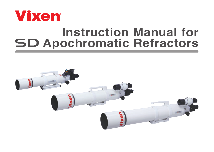

# **Instruction Manual for SD Apochromatic Refractors**

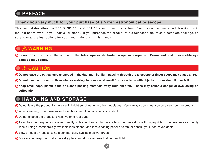# **PREFACE**

### **Thank you very much for your purchase of a Vixen astronomical telescope.**

This manual describes the SD81S, SD103S and SD115S apochromatic refractors. You may occasionally find descriptions in the text not relevant to your particular model. If you purchase the product with a telescope mount as a complete package, be sure to read the instructions for your mount along with this manual.

# **WARNING**

**Never look directly at the sun with the telescope or its finder scope or eyepiece. Permanent and irreversible eye damage may result.**

# **CAUTION**

**Do not leave the optical tube uncapped in the daytime. Sunlight passing through the telescope or finder scope may cause a fire.**

**Do not use the product while moving or walking, injuries could result from a collision with objects or from stumbling or falling.**

**Keep small caps, plastic bags or plastic packing materials away from children. These may cause a danger of swallowing or suffocation.**

# **HANDLING AND STORAGE**

Do not leave the product inside a car in bright sunshine, or in other hot places. Keep away strong heat source away from the product.

When cleaning, do not use solvents such as paint thinner or similar products.

Do not expose the product to rain, water, dirt or sand.

Avoid touching any lens surfaces directly with your hands. In case a lens becomes dirty with fingerprints or general smears, gently wipe it using a commercially available lens cleaner and lens cleaning paper or cloth, or consult your local Vixen dealer.

**2**

**N** Blow off dust on lenses using a commercially available blower brush.

For storage, keep the product in a dry place and do not expose to direct sunlight.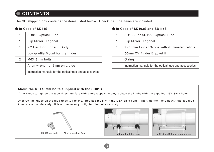# **CONTENTS**

The SD shipping box contains the items listed below. Check if all the items are included.

### **In Case of SD81S**

|               | <b>SD81S Optical Tube</b>                                |  |  |  |
|---------------|----------------------------------------------------------|--|--|--|
| 1             | Flip Mirror Diagonal                                     |  |  |  |
| 1             | XY Red Dot Finder II Body                                |  |  |  |
| 1             | Low-profile Mount for the finder                         |  |  |  |
| $\mathcal{P}$ | M6X18mm bolts                                            |  |  |  |
| 1             | Allen wrench of 5mm on a side                            |  |  |  |
|               | Instruction manuals for the optical tube and accessories |  |  |  |

### **In Case of SD103S and SD115S**

| 1 | SD103S or SD115S Optical Tube                            |  |  |  |
|---|----------------------------------------------------------|--|--|--|
| 1 | Flip Mirror Diagonal                                     |  |  |  |
| 1 | 7X50mm Finder Scope with illuminated reticle             |  |  |  |
| 1 | 50mm XY Finder Bracket II                                |  |  |  |
|   | O ring                                                   |  |  |  |
|   | Instruction manuals for the optical tube and accessories |  |  |  |

### **About the M6X18mm bolts supplied with the SD81S**

If the knobs to tighten the tube rings interfere with a telescope's mount, replace the knobs with the supplied M6X18mm bolts.

Unscrew the knobs on the tube rings to remove. Replace them with the M6X18mm bolts. Then, tighten the bolt with the supplied Allen wrench moderately. It is not necessary to tighten the bolts securely.

**3**





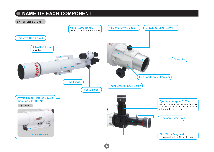## **NAME OF EACH COMPONENT**

### **EXAMPLE: SD103S**

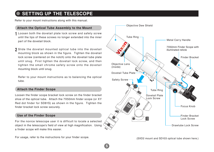# **SETTING UP THE TELESCOPE**

Refer to your mount instructions along with this manual.

- Loosen both the dovetail plate lock screw and safety screw until the tips of these screws no longer extended into the inner part of the dovetail block. **1**
- Slide the dovetail mounted optical tube into the dovetail **2**mounting block as shown in the figure. Tighten the dovetail lock screw (centered on the notch) onto the dovetail tube plate until snug. First tighten the dovetail lock screw, and then tighten the small chrome safety screw onto the dovetail mounting block until snug.

Refer to your mount instructions as to balancing the optical tube.

### **Attach the Finder Scope**

Loosen the finder scope bracket lock screw on the finder bracket shoe of the optical tube. Attach the 7X50mm finder scope (or XY Red dot finder for SD81S) as shown in the figure. Tighten the finder bracket lock screw securely.

### **Use of the Finder Scope**

For the novice telescope user it is difficult to locate a selected object in the telescope's field of view at high magnification. Using a finder scope will make this easier.

For usage, refer to the instructions for your finder scope.



(SXD2 mount and SD103 optical tube shown here.)

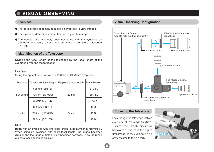# **VISUAL OBSERVING**

- The optical tube assembly requires an evepiece to view images.
- The eyepiece determines magnification of your telescope.
- The optical tube assembly does not come with the eyepiece as standard accessory unless you purchase a complete telescope package.

### **Magnification of the Telescope**

Dividing the focal length of the telescope by the focal length of the eyepiece gives the magnification.

### Example:

Using the optical tube unit with SLV20mm or SLV5mm eyepiece.

| Evepiece | Telescope's focal length | Eyepiece's focal length | Magnification |
|----------|--------------------------|-------------------------|---------------|
|          | 625mm (SD81S)            |                         | 31.25X        |
| SLV20mm  | 795mm (SD103S)           | 20 <sub>mm</sub>        | 39.75X        |
|          | 890mm (SD115S)           |                         | 44.5X         |
| SLV5mm   | 625mm (SD81S)            |                         | 125X          |
|          | 795mm (SD103S)           | 5 <sub>mm</sub>         | 159X          |
|          | 890mm (SD115S)           |                         | 178X          |

### Note:

Begin with an eyepiece with long focal length (large number in millimeters). When using an eyepiece with short focal length, the image becomes dimmer and the range of field of view becomes narrower. Also the range of sharp focus becomes smaller.

### **Eyepiece Visual Observing Configuration**



### **Focusing the Telescope**

Look though the telescope with an eyepiece of low magnification. Turn the focus knob forward or backward as shown in the figure until images in the eyepiece's field of view come to focus clearly.

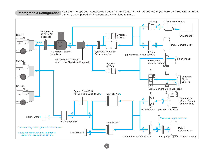### Some of the optional accessories shown in this diagram will be needed if you take pictures with a DSLR **Photographic Configuration** Some of the optional accessories shown in this diagranch camera.



**7**